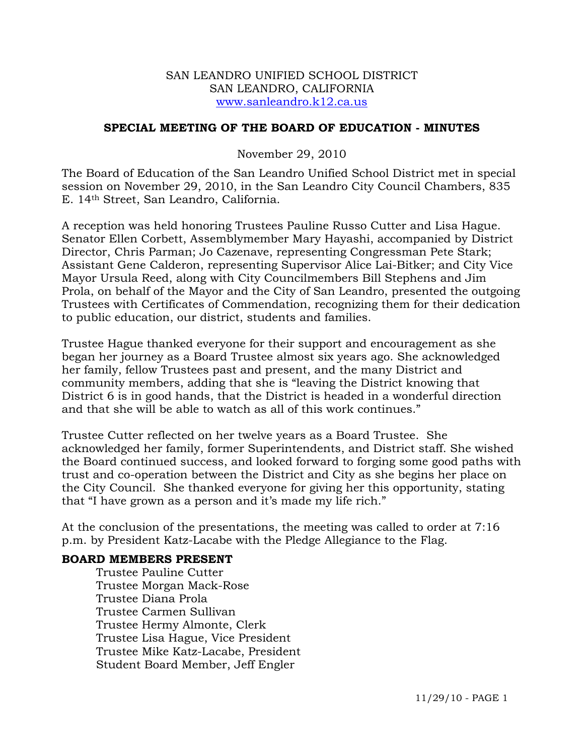## SAN LEANDRO UNIFIED SCHOOL DISTRICT SAN LEANDRO, CALIFORNIA www.sanleandro.k12.ca.us

# **SPECIAL MEETING OF THE BOARD OF EDUCATION - MINUTES**

## November 29, 2010

The Board of Education of the San Leandro Unified School District met in special session on November 29, 2010, in the San Leandro City Council Chambers, 835 E. 14th Street, San Leandro, California.

A reception was held honoring Trustees Pauline Russo Cutter and Lisa Hague. Senator Ellen Corbett, Assemblymember Mary Hayashi, accompanied by District Director, Chris Parman; Jo Cazenave, representing Congressman Pete Stark; Assistant Gene Calderon, representing Supervisor Alice Lai-Bitker; and City Vice Mayor Ursula Reed, along with City Councilmembers Bill Stephens and Jim Prola, on behalf of the Mayor and the City of San Leandro, presented the outgoing Trustees with Certificates of Commendation, recognizing them for their dedication to public education, our district, students and families.

Trustee Hague thanked everyone for their support and encouragement as she began her journey as a Board Trustee almost six years ago. She acknowledged her family, fellow Trustees past and present, and the many District and community members, adding that she is "leaving the District knowing that District 6 is in good hands, that the District is headed in a wonderful direction and that she will be able to watch as all of this work continues."

Trustee Cutter reflected on her twelve years as a Board Trustee. She acknowledged her family, former Superintendents, and District staff. She wished the Board continued success, and looked forward to forging some good paths with trust and co-operation between the District and City as she begins her place on the City Council. She thanked everyone for giving her this opportunity, stating that "I have grown as a person and it's made my life rich."

At the conclusion of the presentations, the meeting was called to order at 7:16 p.m. by President Katz-Lacabe with the Pledge Allegiance to the Flag.

## **BOARD MEMBERS PRESENT**

Trustee Pauline Cutter Trustee Morgan Mack-Rose Trustee Diana Prola Trustee Carmen Sullivan Trustee Hermy Almonte, Clerk Trustee Lisa Hague, Vice President Trustee Mike Katz-Lacabe, President Student Board Member, Jeff Engler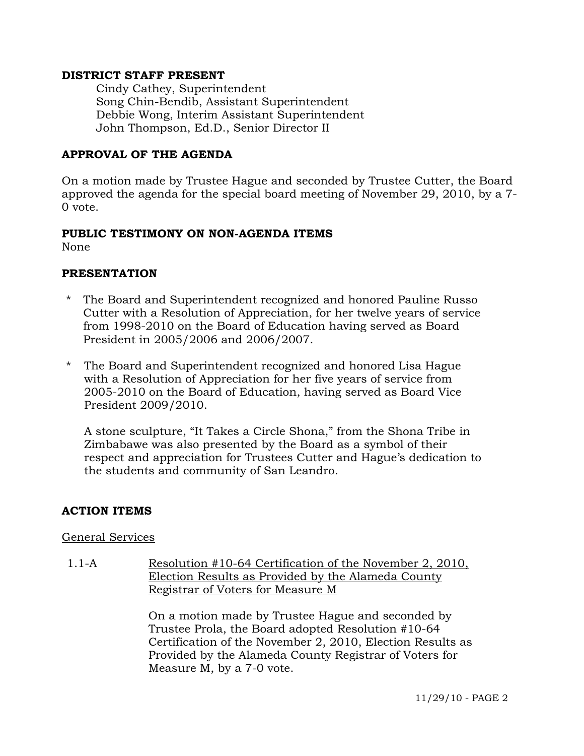## **DISTRICT STAFF PRESENT**

Cindy Cathey, Superintendent Song Chin-Bendib, Assistant Superintendent Debbie Wong, Interim Assistant Superintendent John Thompson, Ed.D., Senior Director II

# **APPROVAL OF THE AGENDA**

On a motion made by Trustee Hague and seconded by Trustee Cutter, the Board approved the agenda for the special board meeting of November 29, 2010, by a 7- 0 vote.

## **PUBLIC TESTIMONY ON NON-AGENDA ITEMS**

None

### **PRESENTATION**

- \* The Board and Superintendent recognized and honored Pauline Russo Cutter with a Resolution of Appreciation, for her twelve years of service from 1998-2010 on the Board of Education having served as Board President in 2005/2006 and 2006/2007.
- \* The Board and Superintendent recognized and honored Lisa Hague with a Resolution of Appreciation for her five years of service from 2005-2010 on the Board of Education, having served as Board Vice President 2009/2010.

 A stone sculpture, "It Takes a Circle Shona," from the Shona Tribe in Zimbabawe was also presented by the Board as a symbol of their respect and appreciation for Trustees Cutter and Hague's dedication to the students and community of San Leandro.

## **ACTION ITEMS**

#### General Services

1.1-A Resolution #10-64 Certification of the November 2, 2010, Election Results as Provided by the Alameda County Registrar of Voters for Measure M

> On a motion made by Trustee Hague and seconded by Trustee Prola, the Board adopted Resolution #10-64 Certification of the November 2, 2010, Election Results as Provided by the Alameda County Registrar of Voters for Measure M, by a 7-0 vote.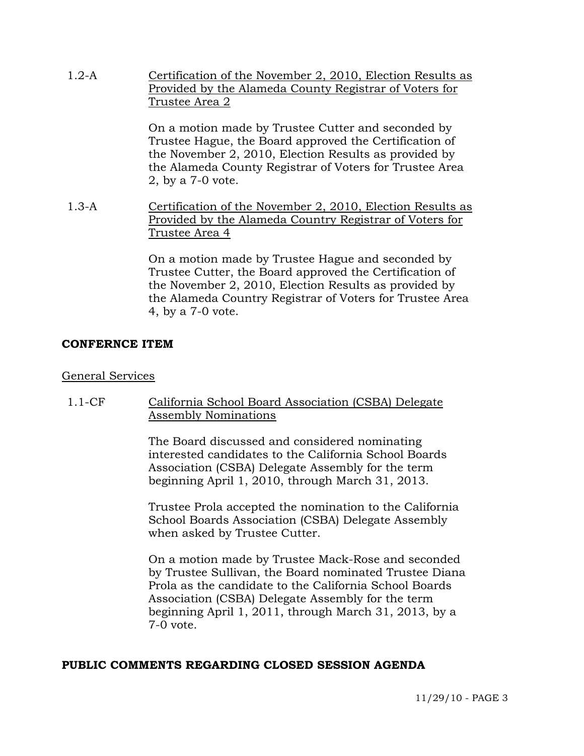| $1.2-A$ | Certification of the November 2, 2010, Election Results as<br>Provided by the Alameda County Registrar of Voters for<br>Trustee Area 2                                                                                                                 |
|---------|--------------------------------------------------------------------------------------------------------------------------------------------------------------------------------------------------------------------------------------------------------|
|         | On a motion made by Trustee Cutter and seconded by<br>Trustee Hague, the Board approved the Certification of<br>the November 2, 2010, Election Results as provided by<br>the Alameda County Registrar of Voters for Trustee Area<br>2, by a 7-0 vote.  |
| $1.3-A$ | Certification of the November 2, 2010, Election Results as<br>Provided by the Alameda Country Registrar of Voters for<br>Trustee Area 4                                                                                                                |
|         | On a motion made by Trustee Hague and seconded by<br>Trustee Cutter, the Board approved the Certification of<br>the November 2, 2010, Election Results as provided by<br>the Alameda Country Registrar of Voters for Trustee Area<br>4, by a 7-0 vote. |

## **CONFERNCE ITEM**

## General Services

1.1-CF California School Board Association (CSBA) Delegate Assembly Nominations

> The Board discussed and considered nominating interested candidates to the California School Boards Association (CSBA) Delegate Assembly for the term beginning April 1, 2010, through March 31, 2013.

Trustee Prola accepted the nomination to the California School Boards Association (CSBA) Delegate Assembly when asked by Trustee Cutter.

On a motion made by Trustee Mack-Rose and seconded by Trustee Sullivan, the Board nominated Trustee Diana Prola as the candidate to the California School Boards Association (CSBA) Delegate Assembly for the term beginning April 1, 2011, through March 31, 2013, by a 7-0 vote.

## **PUBLIC COMMENTS REGARDING CLOSED SESSION AGENDA**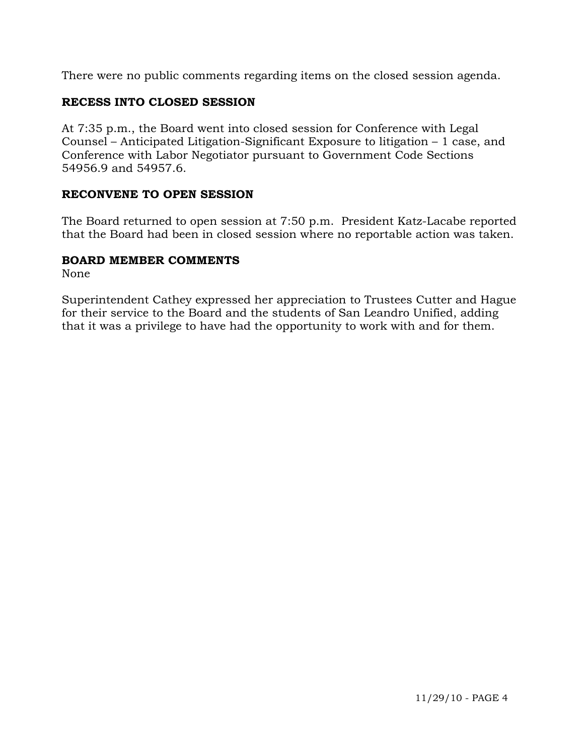There were no public comments regarding items on the closed session agenda.

# **RECESS INTO CLOSED SESSION**

At 7:35 p.m., the Board went into closed session for Conference with Legal Counsel – Anticipated Litigation-Significant Exposure to litigation – 1 case, and Conference with Labor Negotiator pursuant to Government Code Sections 54956.9 and 54957.6.

# **RECONVENE TO OPEN SESSION**

The Board returned to open session at 7:50 p.m. President Katz-Lacabe reported that the Board had been in closed session where no reportable action was taken.

# **BOARD MEMBER COMMENTS**

None

Superintendent Cathey expressed her appreciation to Trustees Cutter and Hague for their service to the Board and the students of San Leandro Unified, adding that it was a privilege to have had the opportunity to work with and for them.